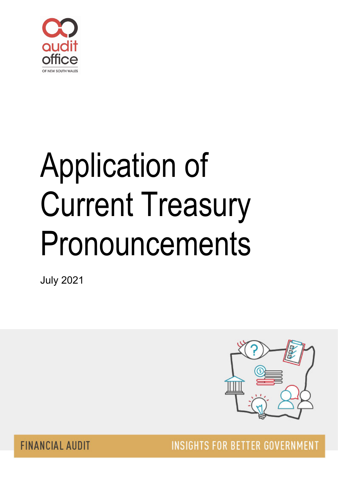

# Application of Current Treasury Pronouncements

July 2021



**FINANCIAL AUDIT** 

**INSIGHTS FOR BETTER GOVERNMENT**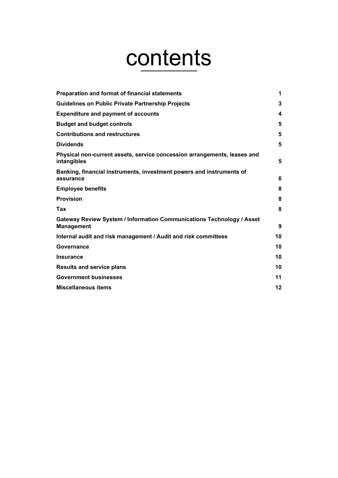# contents

| Preparation and format of financial statements                                             | 1  |
|--------------------------------------------------------------------------------------------|----|
| Guidelines on Public Private Partnership Projects                                          | 3  |
| <b>Expenditure and payment of accounts</b>                                                 | 4  |
| <b>Budget and budget controls</b>                                                          | 5  |
| <b>Contributions and restructures</b>                                                      | 5  |
| <b>Dividends</b>                                                                           | 5  |
| Physical non-current assets, service concession arrangements, leases and<br>intangibles    | 5  |
| Banking, financial instruments, investment powers and instruments of<br>assurance          | 6  |
| <b>Employee benefits</b>                                                                   | 8  |
| <b>Provision</b>                                                                           | 8  |
| Tax                                                                                        | 8  |
| Gateway Review System / Information Communications Technology / Asset<br><b>Management</b> | 9  |
| Internal audit and risk management / Audit and risk committees                             | 10 |
| Governance                                                                                 | 10 |
| Insurance                                                                                  | 10 |
| <b>Results and service plans</b>                                                           | 10 |
| <b>Government businesses</b>                                                               | 11 |
| <b>Miscellaneous items</b>                                                                 | 12 |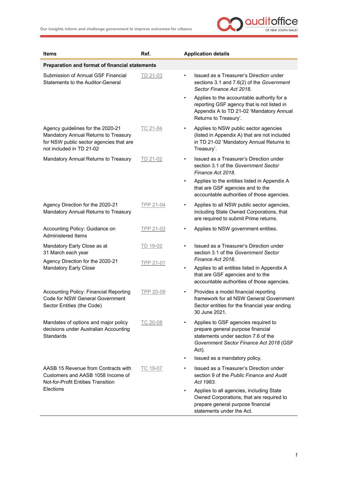

<span id="page-2-0"></span>

| <b>Items</b>                                                                                                                                     | Ref.      | <b>Application details</b>                                                                                                                                                       |
|--------------------------------------------------------------------------------------------------------------------------------------------------|-----------|----------------------------------------------------------------------------------------------------------------------------------------------------------------------------------|
| Preparation and format of financial statements                                                                                                   |           |                                                                                                                                                                                  |
| Submission of Annual GSF Financial<br>Statements to the Auditor-General                                                                          | TD 21-03  | Issued as a Treasurer's Direction under<br>$\bullet$<br>sections 3.1 and 7.6(2) of the Government<br>Sector Finance Act 2018.                                                    |
|                                                                                                                                                  |           | Applies to the accountable authority for a<br>$\bullet$<br>reporting GSF agency that is not listed in<br>Appendix A to TD 21-02 'Mandatory Annual<br>Returns to Treasury'.       |
| Agency guidelines for the 2020-21<br>Mandatory Annual Returns to Treasury<br>for NSW public sector agencies that are<br>not included in TD 21-02 | TC 21-04  | Applies to NSW public sector agencies<br>$\bullet$<br>(listed in Appendix A) that are not included<br>in TD 21-02 'Mandatory Annual Returns to<br>Treasury'.                     |
| Mandatory Annual Returns to Treasury                                                                                                             | TD 21-02  | Issued as a Treasurer's Direction under<br>$\bullet$<br>section 3.1 of the Government Sector<br>Finance Act 2018.                                                                |
|                                                                                                                                                  |           | Applies to the entities listed in Appendix A<br>$\bullet$<br>that are GSF agencies and to the<br>accountable authorities of those agencies.                                      |
| Agency Direction for the 2020-21<br>Mandatory Annual Returns to Treasury                                                                         | TPP 21-04 | Applies to all NSW public sector agencies,<br>including State Owned Corporations, that<br>are required to submit Prime returns.                                                  |
| Accounting Policy: Guidance on<br><b>Administered Items</b>                                                                                      | TPP 21-03 | Applies to NSW government entities.<br>$\bullet$                                                                                                                                 |
| Mandatory Early Close as at<br>31 March each year                                                                                                | TD 19-02  | Issued as a Treasurer's Direction under<br>section 3.1 of the Government Sector<br>Finance Act 2018.                                                                             |
| Agency Direction for the 2020-21<br><b>Mandatory Early Close</b>                                                                                 | TPP 21-01 | Applies to all entities listed in Appendix A<br>$\bullet$<br>that are GSF agencies and to the<br>accountable authorities of those agencies.                                      |
| <b>Accounting Policy: Financial Reporting</b><br>Code for NSW General Government<br>Sector Entities (the Code)                                   | TPP 20-09 | Provides a model financial reporting<br>٠<br>framework for all NSW General Government<br>Sector entities for the financial year ending<br>30 June 2021.                          |
| Mandates of options and major policy<br>decisions under Australian Accounting<br><b>Standards</b>                                                | TC 20-08  | Applies to GSF agencies required to<br>$\bullet$<br>prepare general purpose financial<br>statements under section 7.6 of the<br>Government Sector Finance Act 2018 (GSF<br>Act). |
|                                                                                                                                                  |           | Issued as a mandatory policy.<br>$\bullet$                                                                                                                                       |
| AASB 15 Revenue from Contracts with<br>Customers and AASB 1058 Income of<br><b>Not-for-Profit Entities Transition</b>                            | TC 19-07  | Issued as a Treasurer's Direction under<br>$\bullet$<br>section 9 of the Public Finance and Audit<br>Act 1983.                                                                   |
| Elections                                                                                                                                        |           | Applies to all agencies, including State<br>$\bullet$<br>Owned Corporations, that are required to<br>prepare general purpose financial<br>statements under the Act.              |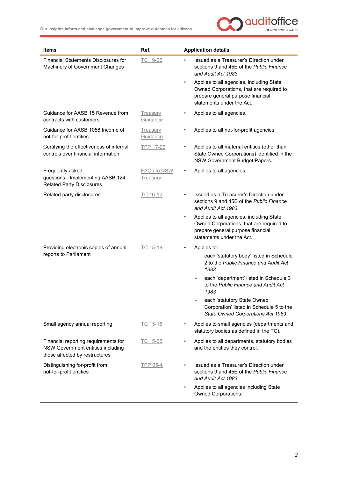

| <b>Items</b>                                                                                                | Ref.                           | <b>Application details</b>                                                                                                                                          |
|-------------------------------------------------------------------------------------------------------------|--------------------------------|---------------------------------------------------------------------------------------------------------------------------------------------------------------------|
| <b>Financial Statements Disclosures for</b><br>Machinery of Government Changes                              | TC 19-06                       | Issued as a Treasurer's Direction under<br>$\bullet$<br>sections 9 and 45E of the Public Finance<br>and Audit Act 1983.                                             |
|                                                                                                             |                                | Applies to all agencies, including State<br>$\bullet$<br>Owned Corporations, that are required to<br>prepare general purpose financial<br>statements under the Act. |
| Guidance for AASB 15 Revenue from<br>contracts with customers                                               | <b>Treasury</b><br>Guidance    | Applies to all agencies.<br>$\bullet$                                                                                                                               |
| Guidance for AASB 1058 Income of<br>not-for-profit entities                                                 | Treasury<br>Guidance           | Applies to all not-for-profit agencies.<br>$\bullet$                                                                                                                |
| Certifying the effectiveness of internal<br>controls over financial information                             | <b>TPP 17-06</b>               | Applies to all material entities (other than<br>$\bullet$<br>State Owned Corporations) identified in the<br>NSW Government Budget Papers.                           |
| Frequently asked<br>questions - Implementing AASB 124<br><b>Related Party Disclosures</b>                   | <b>FAQs to NSW</b><br>Treasury | Applies to all agencies.<br>$\bullet$                                                                                                                               |
| Related party disclosures                                                                                   | TC 16-12                       | Issued as a Treasurer's Direction under<br>sections 9 and 45E of the Public Finance<br>and Audit Act 1983.                                                          |
|                                                                                                             |                                | Applies to all agencies, including State<br>$\bullet$<br>Owned Corporations, that are required to<br>prepare general purpose financial<br>statements under the Act. |
| Providing electronic copies of annual                                                                       | TC 15-19                       | Applies to:<br>$\bullet$                                                                                                                                            |
| reports to Parliament                                                                                       |                                | each 'statutory body' listed in Schedule<br>2 to the Public Finance and Audit Act<br>1983                                                                           |
|                                                                                                             |                                | each 'department' listed in Schedule 3<br>$\qquad \qquad -$<br>to the Public Finance and Audit Act<br>1983                                                          |
|                                                                                                             |                                | each 'statutory State Owned<br>Corporation' listed in Schedule 5 to the<br>State Owned Corporations Act 1989.                                                       |
| Small agency annual reporting                                                                               | TC 15-18                       | Applies to small agencies (departments and<br>statutory bodies as defined in the TC).                                                                               |
| Financial reporting requirements for<br>NSW Government entities including<br>those affected by restructures | TC 15-05                       | Applies to all departments, statutory bodies<br>and the entities they control.                                                                                      |
| Distinguishing for-profit from<br>not-for-profit entities                                                   | TPP 05-4                       | Issued as a Treasurer's Direction under<br>sections 9 and 45E of the Public Finance<br>and Audit Act 1983.                                                          |
|                                                                                                             |                                | Applies to all agencies including State<br>$\bullet$<br>Owned Corporations.                                                                                         |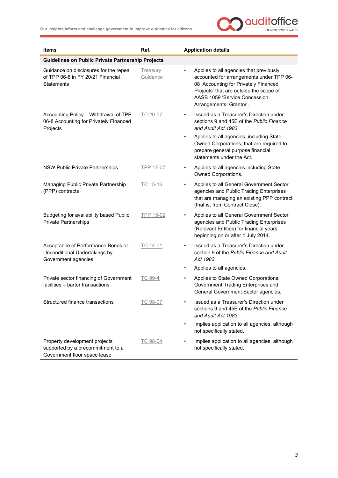

<span id="page-4-0"></span>

| Items                                                                                              | Ref.                        | <b>Application details</b>                                                                                                                                                                                                                       |
|----------------------------------------------------------------------------------------------------|-----------------------------|--------------------------------------------------------------------------------------------------------------------------------------------------------------------------------------------------------------------------------------------------|
| <b>Guidelines on Public Private Partnership Projects</b>                                           |                             |                                                                                                                                                                                                                                                  |
| Guidance on disclosures for the repeal<br>of TPP 06-8 in FY 20/21 Financial<br>Statements          | <b>Treasury</b><br>Guidance | Applies to all agencies that previously<br>$\bullet$<br>accounted for arrangements under TPP 06-<br>08 'Accounting for Privately Financed<br>Projects' that are outside the scope of<br>AASB 1059 'Service Concession<br>Arrangements: Grantor'. |
| Accounting Policy - Withdrawal of TPP<br>06-8 Accounting for Privately Financed<br>Projects        | TC 20-07                    | Issued as a Treasurer's Direction under<br>sections 9 and 45E of the Public Finance<br>and Audit Act 1983.                                                                                                                                       |
|                                                                                                    |                             | Applies to all agencies, including State<br>$\bullet$<br>Owned Corporations, that are required to<br>prepare general purpose financial<br>statements under the Act.                                                                              |
| NSW Public Private Partnerships                                                                    | TPP 17-07                   | Applies to all agencies including State<br>$\bullet$<br>Owned Corporations.                                                                                                                                                                      |
| Managing Public Private Partnership<br>(PPP) contracts                                             | TC 15-16                    | Applies to all General Government Sector<br>$\bullet$<br>agencies and Public Trading Enterprises<br>that are managing an existing PPP contract<br>(that is, from Contract Close).                                                                |
| Budgeting for availability based Public<br><b>Private Partnerships</b>                             | <b>TPP 15-02</b>            | Applies to all General Government Sector<br>$\bullet$<br>agencies and Public Trading Enterprises<br>(Relevant Entities) for financial years<br>beginning on or after 1 July 2014.                                                                |
| Acceptance of Performance Bonds or<br>Unconditional Undertakings by<br>Government agencies         | TC 14-01                    | Issued as a Treasurer's Direction under<br>$\bullet$<br>section 9 of the Public Finance and Audit<br>Act 1983.                                                                                                                                   |
|                                                                                                    |                             | Applies to all agencies.<br>٠                                                                                                                                                                                                                    |
| Private sector financing of Government<br>facilities - barter transactions                         | TC 99-4                     | Applies to State Owned Corporations,<br>Government Trading Enterprises and<br>General Government Sector agencies.                                                                                                                                |
| Structured finance transactions                                                                    | TC 98-07                    | Issued as a Treasurer's Direction under<br>sections 9 and 45E of the Public Finance<br>and Audit Act 1983.                                                                                                                                       |
|                                                                                                    |                             | Implies application to all agencies, although<br>$\bullet$<br>not specifically stated.                                                                                                                                                           |
| Property development projects<br>supported by a precommitment to a<br>Government floor space lease | TC 98-04                    | Implies application to all agencies, although<br>$\bullet$<br>not specifically stated.                                                                                                                                                           |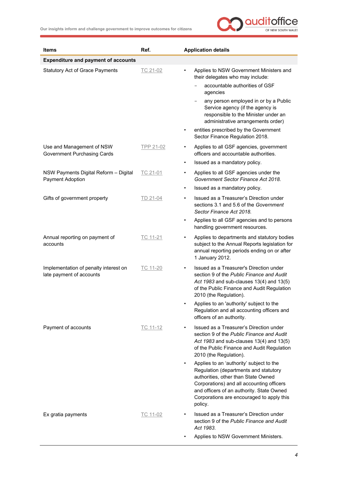

<span id="page-5-0"></span>

| Items                                                             | Ref.      | <b>Application details</b>                                                                                                                                                                                                                                                 |
|-------------------------------------------------------------------|-----------|----------------------------------------------------------------------------------------------------------------------------------------------------------------------------------------------------------------------------------------------------------------------------|
| <b>Expenditure and payment of accounts</b>                        |           |                                                                                                                                                                                                                                                                            |
| <b>Statutory Act of Grace Payments</b>                            | TC 21-02  | Applies to NSW Government Ministers and<br>$\bullet$<br>their delegates who may include:                                                                                                                                                                                   |
|                                                                   |           | accountable authorities of GSF<br>agencies                                                                                                                                                                                                                                 |
|                                                                   |           | any person employed in or by a Public<br>Service agency (if the agency is<br>responsible to the Minister under an<br>administrative arrangements order)                                                                                                                    |
|                                                                   |           | entities prescribed by the Government<br>$\bullet$<br>Sector Finance Regulation 2018.                                                                                                                                                                                      |
| Use and Management of NSW<br><b>Government Purchasing Cards</b>   | TPP 21-02 | Applies to all GSF agencies, government<br>٠<br>officers and accountable authorities.                                                                                                                                                                                      |
|                                                                   |           | Issued as a mandatory policy.<br>$\bullet$                                                                                                                                                                                                                                 |
| NSW Payments Digital Reform - Digital<br>Payment Adoption         | TC 21-01  | Applies to all GSF agencies under the<br>٠<br>Government Sector Finance Act 2018.                                                                                                                                                                                          |
|                                                                   |           | Issued as a mandatory policy.<br>$\bullet$                                                                                                                                                                                                                                 |
| Gifts of government property                                      | TD 21-04  | Issued as a Treasurer's Direction under<br>$\bullet$<br>sections 3.1 and 5.6 of the Government<br>Sector Finance Act 2018.                                                                                                                                                 |
|                                                                   |           | Applies to all GSF agencies and to persons<br>$\bullet$<br>handling government resources.                                                                                                                                                                                  |
| Annual reporting on payment of<br>accounts                        | TC 11-21  | Applies to departments and statutory bodies<br>$\bullet$<br>subject to the Annual Reports legislation for<br>annual reporting periods ending on or after<br>1 January 2012.                                                                                                |
| Implementation of penalty interest on<br>late payment of accounts | TC 11-20  | Issued as a Treasurer's Direction under<br>$\bullet$<br>section 9 of the Public Finance and Audit<br>Act 1983 and sub-clauses 13(4) and 13(5)<br>of the Public Finance and Audit Regulation<br>2010 (the Regulation).                                                      |
|                                                                   |           | Applies to an 'authority' subject to the<br>Regulation and all accounting officers and<br>officers of an authority.                                                                                                                                                        |
| Payment of accounts                                               | TC 11-12  | Issued as a Treasurer's Direction under<br>section 9 of the Public Finance and Audit<br>Act 1983 and sub-clauses 13(4) and 13(5)<br>of the Public Finance and Audit Regulation<br>2010 (the Regulation).                                                                   |
|                                                                   |           | Applies to an 'authority' subject to the<br>Regulation (departments and statutory<br>authorities, other than State Owned<br>Corporations) and all accounting officers<br>and officers of an authority. State Owned<br>Corporations are encouraged to apply this<br>policy. |
| Ex gratia payments                                                | TC 11-02  | Issued as a Treasurer's Direction under<br>$\bullet$<br>section 9 of the Public Finance and Audit<br>Act 1983.                                                                                                                                                             |
|                                                                   |           | Applies to NSW Government Ministers.                                                                                                                                                                                                                                       |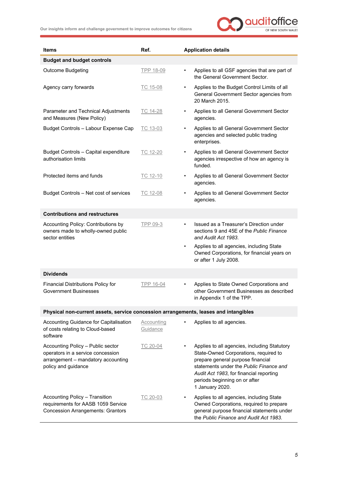

<span id="page-6-3"></span><span id="page-6-2"></span><span id="page-6-1"></span><span id="page-6-0"></span>

| <b>Items</b>                                                                                                                        | Ref.                   | <b>Application details</b>                                                                                                                                                                                                                                           |
|-------------------------------------------------------------------------------------------------------------------------------------|------------------------|----------------------------------------------------------------------------------------------------------------------------------------------------------------------------------------------------------------------------------------------------------------------|
| <b>Budget and budget controls</b>                                                                                                   |                        |                                                                                                                                                                                                                                                                      |
| <b>Outcome Budgeting</b>                                                                                                            | TPP 18-09              | Applies to all GSF agencies that are part of<br>$\bullet$<br>the General Government Sector.                                                                                                                                                                          |
| Agency carry forwards                                                                                                               | TC 15-08               | Applies to the Budget Control Limits of all<br>$\bullet$<br>General Government Sector agencies from<br>20 March 2015.                                                                                                                                                |
| Parameter and Technical Adjustments<br>and Measures (New Policy)                                                                    | TC 14-28               | Applies to all General Government Sector<br>$\bullet$<br>agencies.                                                                                                                                                                                                   |
| Budget Controls - Labour Expense Cap                                                                                                | TC 13-03               | Applies to all General Government Sector<br>$\bullet$<br>agencies and selected public trading<br>enterprises.                                                                                                                                                        |
| <b>Budget Controls - Capital expenditure</b><br>authorisation limits                                                                | TC 12-20               | Applies to all General Government Sector<br>$\bullet$<br>agencies irrespective of how an agency is<br>funded.                                                                                                                                                        |
| Protected items and funds                                                                                                           | TC 12-10               | Applies to all General Government Sector<br>$\bullet$<br>agencies.                                                                                                                                                                                                   |
| Budget Controls - Net cost of services                                                                                              | TC 12-08               | Applies to all General Government Sector<br>$\bullet$<br>agencies.                                                                                                                                                                                                   |
| <b>Contributions and restructures</b>                                                                                               |                        |                                                                                                                                                                                                                                                                      |
| Accounting Policy: Contributions by<br>owners made to wholly-owned public<br>sector entities                                        | TPP 09-3               | Issued as a Treasurer's Direction under<br>$\bullet$<br>sections 9 and 45E of the Public Finance<br>and Audit Act 1983.                                                                                                                                              |
|                                                                                                                                     |                        | Applies to all agencies, including State<br>$\bullet$<br>Owned Corporations, for financial years on<br>or after 1 July 2008.                                                                                                                                         |
| <b>Dividends</b>                                                                                                                    |                        |                                                                                                                                                                                                                                                                      |
| Financial Distributions Policy for<br><b>Government Businesses</b>                                                                  | TPP 16-04              | Applies to State Owned Corporations and<br>$\bullet$<br>other Government Businesses as described<br>in Appendix 1 of the TPP.                                                                                                                                        |
| Physical non-current assets, service concession arrangements, leases and intangibles                                                |                        |                                                                                                                                                                                                                                                                      |
| Accounting Guidance for Capitalisation<br>of costs relating to Cloud-based<br>software                                              | Accounting<br>Guidance | Applies to all agencies.<br>$\bullet$                                                                                                                                                                                                                                |
| Accounting Policy - Public sector<br>operators in a service concession<br>arrangement - mandatory accounting<br>policy and guidance | TC 20-04               | Applies to all agencies, including Statutory<br>State-Owned Corporations, required to<br>prepare general purpose financial<br>statements under the Public Finance and<br>Audit Act 1983, for financial reporting<br>periods beginning on or after<br>1 January 2020. |
| <b>Accounting Policy - Transition</b><br>requirements for AASB 1059 Service<br><b>Concession Arrangements: Grantors</b>             | TC 20-03               | Applies to all agencies, including State<br>Owned Corporations, required to prepare<br>general purpose financial statements under<br>the Public Finance and Audit Act 1983.                                                                                          |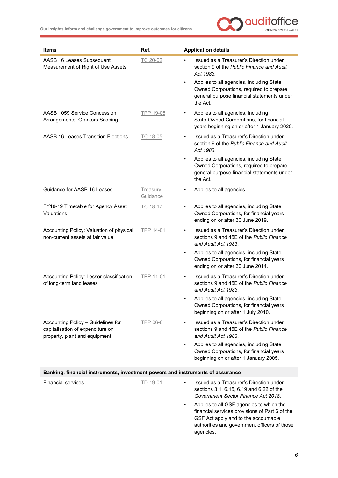

<span id="page-7-0"></span>

| <b>Items</b>                                                                                            | Ref.                 | <b>Application details</b>                                                                                                                                                                                   |
|---------------------------------------------------------------------------------------------------------|----------------------|--------------------------------------------------------------------------------------------------------------------------------------------------------------------------------------------------------------|
| AASB 16 Leases Subsequent<br>Measurement of Right of Use Assets                                         | TC 20-02             | Issued as a Treasurer's Direction under<br>$\bullet$<br>section 9 of the Public Finance and Audit<br>Act 1983.                                                                                               |
|                                                                                                         |                      | Applies to all agencies, including State<br>$\bullet$<br>Owned Corporations, required to prepare<br>general purpose financial statements under<br>the Act.                                                   |
| AASB 1059 Service Concession<br>Arrangements: Grantors Scoping                                          | TPP 19-06            | Applies to all agencies, including<br>State-Owned Corporations, for financial<br>years beginning on or after 1 January 2020.                                                                                 |
| <b>AASB 16 Leases Transition Elections</b>                                                              | TC 18-05             | Issued as a Treasurer's Direction under<br>$\bullet$<br>section 9 of the Public Finance and Audit<br>Act 1983.                                                                                               |
|                                                                                                         |                      | Applies to all agencies, including State<br>$\bullet$<br>Owned Corporations, required to prepare<br>general purpose financial statements under<br>the Act.                                                   |
| Guidance for AASB 16 Leases                                                                             | Treasury<br>Guidance | Applies to all agencies.<br>$\bullet$                                                                                                                                                                        |
| FY18-19 Timetable for Agency Asset<br>Valuations                                                        | TC 18-17             | Applies to all agencies, including State<br>Owned Corporations, for financial years<br>ending on or after 30 June 2019.                                                                                      |
| Accounting Policy: Valuation of physical<br>non-current assets at fair value                            | TPP 14-01            | Issued as a Treasurer's Direction under<br>$\bullet$<br>sections 9 and 45E of the Public Finance<br>and Audit Act 1983.                                                                                      |
|                                                                                                         |                      | Applies to all agencies, including State<br>$\bullet$<br>Owned Corporations, for financial years<br>ending on or after 30 June 2014.                                                                         |
| Accounting Policy: Lessor classification<br>of long-term land leases                                    | TPP 11-01            | Issued as a Treasurer's Direction under<br>٠<br>sections 9 and 45E of the Public Finance<br>and Audit Act 1983.                                                                                              |
|                                                                                                         |                      | Applies to all agencies, including State<br>Owned Corporations, for financial years<br>beginning on or after 1 July 2010.                                                                                    |
| Accounting Policy - Guidelines for<br>capitalisation of expenditure on<br>property, plant and equipment | TPP 06-6             | Issued as a Treasurer's Direction under<br>$\bullet$<br>sections 9 and 45E of the Public Finance<br>and Audit Act 1983.                                                                                      |
|                                                                                                         |                      | Applies to all agencies, including State<br>$\bullet$<br>Owned Corporations, for financial years<br>beginning on or after 1 January 2005.                                                                    |
| Banking, financial instruments, investment powers and instruments of assurance                          |                      |                                                                                                                                                                                                              |
| <b>Financial services</b>                                                                               | TD 19-01             | Issued as a Treasurer's Direction under<br>$\bullet$<br>sections 3.1, 6.15, 6.19 and 6.22 of the<br>Government Sector Finance Act 2018.                                                                      |
|                                                                                                         |                      | Applies to all GSF agencies to which the<br>$\bullet$<br>financial services provisions of Part 6 of the<br>GSF Act apply and to the accountable<br>authorities and government officers of those<br>agencies. |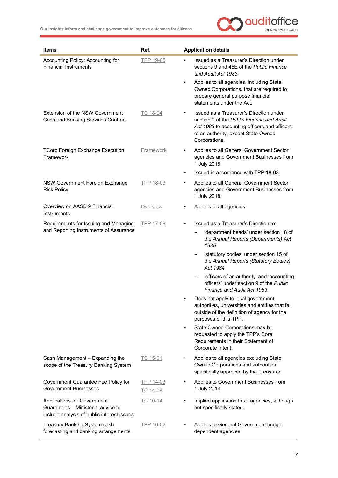

| <b>Items</b>                                                                                                    | Ref.                  | <b>Application details</b>                                                                                                                                                                                |
|-----------------------------------------------------------------------------------------------------------------|-----------------------|-----------------------------------------------------------------------------------------------------------------------------------------------------------------------------------------------------------|
| Accounting Policy: Accounting for<br><b>Financial Instruments</b>                                               | TPP 19-05             | Issued as a Treasurer's Direction under<br>$\bullet$<br>sections 9 and 45E of the Public Finance<br>and Audit Act 1983.                                                                                   |
|                                                                                                                 |                       | Applies to all agencies, including State<br>$\bullet$<br>Owned Corporations, that are required to<br>prepare general purpose financial<br>statements under the Act.                                       |
| Extension of the NSW Government<br>Cash and Banking Services Contract                                           | TC 18-04              | Issued as a Treasurer's Direction under<br>$\bullet$<br>section 9 of the Public Finance and Audit<br>Act 1983 to accounting officers and officers<br>of an authority, except State Owned<br>Corporations. |
| <b>TCorp Foreign Exchange Execution</b><br>Framework                                                            | Framework             | Applies to all General Government Sector<br>٠<br>agencies and Government Businesses from<br>1 July 2018.                                                                                                  |
|                                                                                                                 |                       | Issued in accordance with TPP 18-03.<br>$\bullet$                                                                                                                                                         |
| <b>NSW Government Foreign Exchange</b><br><b>Risk Policy</b>                                                    | TPP 18-03             | Applies to all General Government Sector<br>$\bullet$<br>agencies and Government Businesses from<br>1 July 2018.                                                                                          |
| Overview on AASB 9 Financial<br><b>Instruments</b>                                                              | Overview              | Applies to all agencies.                                                                                                                                                                                  |
| Requirements for Issuing and Managing                                                                           | <b>TPP 17-08</b>      | Issued as a Treasurer's Direction to:<br>$\bullet$                                                                                                                                                        |
| and Reporting Instruments of Assurance                                                                          |                       | 'department heads' under section 18 of<br>the Annual Reports (Departments) Act<br>1985                                                                                                                    |
|                                                                                                                 |                       | 'statutory bodies' under section 15 of<br>the Annual Reports (Statutory Bodies)<br>Act 1984                                                                                                               |
|                                                                                                                 |                       | 'officers of an authority' and 'accounting<br>officers' under section 9 of the Public<br>Finance and Audit Act 1983.                                                                                      |
|                                                                                                                 |                       | Does not apply to local government<br>authorities, universities and entities that fall<br>outside of the definition of agency for the<br>purposes of this TPP.                                            |
|                                                                                                                 |                       | State Owned Corporations may be<br>$\bullet$<br>requested to apply the TPP's Core<br>Requirements in their Statement of<br>Corporate Intent.                                                              |
| Cash Management - Expanding the<br>scope of the Treasury Banking System                                         | TC 15-01              | Applies to all agencies excluding State<br>٠<br>Owned Corporations and authorities<br>specifically approved by the Treasurer.                                                                             |
| Government Guarantee Fee Policy for<br><b>Government Businesses</b>                                             | TPP 14-03<br>TC 14-08 | Applies to Government Businesses from<br>٠<br>1 July 2014.                                                                                                                                                |
| Applications for Government<br>Guarantees - Ministerial advice to<br>include analysis of public interest issues | TC 10-14              | Implied application to all agencies, although<br>$\bullet$<br>not specifically stated.                                                                                                                    |
| Treasury Banking System cash<br>forecasting and banking arrangements                                            | TPP 10-02             | Applies to General Government budget<br>dependent agencies.                                                                                                                                               |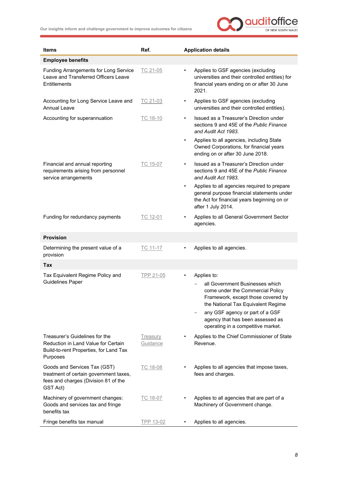

<span id="page-9-2"></span><span id="page-9-1"></span><span id="page-9-0"></span>

| <b>Items</b>                                                                                                                | Ref.                        | <b>Application details</b>                                                                                                                                                                                                                                                               |
|-----------------------------------------------------------------------------------------------------------------------------|-----------------------------|------------------------------------------------------------------------------------------------------------------------------------------------------------------------------------------------------------------------------------------------------------------------------------------|
| <b>Employee benefits</b>                                                                                                    |                             |                                                                                                                                                                                                                                                                                          |
| Funding Arrangements for Long Service<br>Leave and Transferred Officers Leave<br>Entitlements                               | TC 21-05                    | Applies to GSF agencies (excluding<br>$\bullet$<br>universities and their controlled entities) for<br>financial years ending on or after 30 June<br>2021.                                                                                                                                |
| Accounting for Long Service Leave and<br><b>Annual Leave</b>                                                                | TC 21-03                    | Applies to GSF agencies (excluding<br>$\bullet$<br>universities and their controlled entities).                                                                                                                                                                                          |
| Accounting for superannuation                                                                                               | TC 18-10                    | Issued as a Treasurer's Direction under<br>$\bullet$<br>sections 9 and 45E of the Public Finance<br>and Audit Act 1983.                                                                                                                                                                  |
|                                                                                                                             |                             | Applies to all agencies, including State<br>$\bullet$<br>Owned Corporations, for financial years<br>ending on or after 30 June 2018.                                                                                                                                                     |
| Financial and annual reporting<br>requirements arising from personnel<br>service arrangements                               | TC 15-07                    | Issued as a Treasurer's Direction under<br>$\bullet$<br>sections 9 and 45E of the Public Finance<br>and Audit Act 1983.                                                                                                                                                                  |
|                                                                                                                             |                             | Applies to all agencies required to prepare<br>$\bullet$<br>general purpose financial statements under<br>the Act for financial years beginning on or<br>after 1 July 2014.                                                                                                              |
| Funding for redundancy payments                                                                                             | TC 12-01                    | Applies to all General Government Sector<br>$\bullet$<br>agencies.                                                                                                                                                                                                                       |
| <b>Provision</b>                                                                                                            |                             |                                                                                                                                                                                                                                                                                          |
| Determining the present value of a<br>provision                                                                             | TC 11-17                    | Applies to all agencies.<br>$\bullet$                                                                                                                                                                                                                                                    |
| Tax                                                                                                                         |                             |                                                                                                                                                                                                                                                                                          |
| Tax Equivalent Regime Policy and<br><b>Guidelines Paper</b>                                                                 | TPP 21-05                   | Applies to:<br>$\bullet$<br>all Government Businesses which<br>come under the Commercial Policy<br>Framework, except those covered by<br>the National Tax Equivalent Regime<br>any GSF agency or part of a GSF<br>agency that has been assessed as<br>operating in a competitive market. |
| Treasurer's Guidelines for the<br>Reduction in Land Value for Certain<br>Build-to-rent Properties, for Land Tax<br>Purposes | <b>Treasury</b><br>Guidance | Applies to the Chief Commissioner of State<br>Revenue.                                                                                                                                                                                                                                   |
| Goods and Services Tax (GST)<br>treatment of certain government taxes,<br>fees and charges (Division 81 of the<br>GST Act)  | TC 18-08                    | Applies to all agencies that impose taxes,<br>fees and charges.                                                                                                                                                                                                                          |
| Machinery of government changes:<br>Goods and services tax and fringe<br>benefits tax                                       | TC 18-07                    | Applies to all agencies that are part of a<br>Machinery of Government change.                                                                                                                                                                                                            |
| Fringe benefits tax manual                                                                                                  | TPP 13-02                   | Applies to all agencies.                                                                                                                                                                                                                                                                 |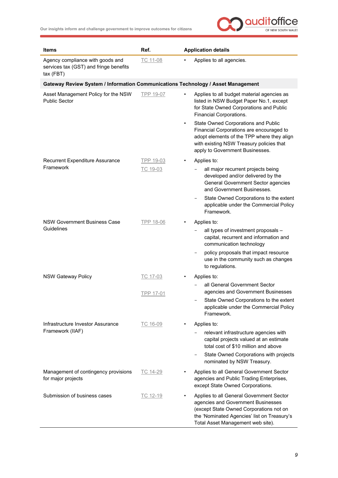

<span id="page-10-0"></span>

| Items                                                                                   | Ref.             |           | <b>Application details</b>                                                                                                                                                                                    |
|-----------------------------------------------------------------------------------------|------------------|-----------|---------------------------------------------------------------------------------------------------------------------------------------------------------------------------------------------------------------|
| Agency compliance with goods and<br>services tax (GST) and fringe benefits<br>tax (FBT) | TC 11-08         |           | Applies to all agencies.                                                                                                                                                                                      |
| Gateway Review System / Information Communications Technology / Asset Management        |                  |           |                                                                                                                                                                                                               |
| Asset Management Policy for the NSW<br><b>Public Sector</b>                             | <b>TPP 19-07</b> | $\bullet$ | Applies to all budget material agencies as<br>listed in NSW Budget Paper No.1, except<br>for State Owned Corporations and Public<br>Financial Corporations.                                                   |
|                                                                                         |                  | $\bullet$ | State Owned Corporations and Public<br>Financial Corporations are encouraged to<br>adopt elements of the TPP where they align<br>with existing NSW Treasury policies that<br>apply to Government Businesses.  |
| Recurrent Expenditure Assurance                                                         | TPP 19-03        |           | Applies to:                                                                                                                                                                                                   |
| Framework                                                                               | TC 19-03         |           | all major recurrent projects being<br>developed and/or delivered by the<br>General Government Sector agencies<br>and Government Businesses.                                                                   |
|                                                                                         |                  |           | State Owned Corporations to the extent<br>applicable under the Commercial Policy<br>Framework.                                                                                                                |
| <b>NSW Government Business Case</b>                                                     | <b>TPP 18-06</b> |           | Applies to:                                                                                                                                                                                                   |
| Guidelines                                                                              |                  |           | all types of investment proposals -<br>capital, recurrent and information and<br>communication technology                                                                                                     |
|                                                                                         |                  |           | policy proposals that impact resource<br>use in the community such as changes<br>to regulations.                                                                                                              |
| <b>NSW Gateway Policy</b>                                                               | TC 17-03         |           | Applies to:                                                                                                                                                                                                   |
|                                                                                         | TPP 17-01        |           | all General Government Sector<br>agencies and Government Businesses                                                                                                                                           |
|                                                                                         |                  |           | State Owned Corporations to the extent<br>applicable under the Commercial Policy<br>Framework.                                                                                                                |
| Infrastructure Investor Assurance                                                       | TC 16-09         |           | Applies to:                                                                                                                                                                                                   |
| Framework (IIAF)                                                                        |                  |           | relevant infrastructure agencies with<br>capital projects valued at an estimate<br>total cost of \$10 million and above                                                                                       |
|                                                                                         |                  |           | State Owned Corporations with projects<br>nominated by NSW Treasury.                                                                                                                                          |
| Management of contingency provisions<br>for major projects                              | TC 14-29         |           | Applies to all General Government Sector<br>agencies and Public Trading Enterprises,<br>except State Owned Corporations.                                                                                      |
| Submission of business cases                                                            | TC 12-19         |           | Applies to all General Government Sector<br>agencies and Government Businesses<br>(except State Owned Corporations not on<br>the 'Nominated Agencies' list on Treasury's<br>Total Asset Management web site). |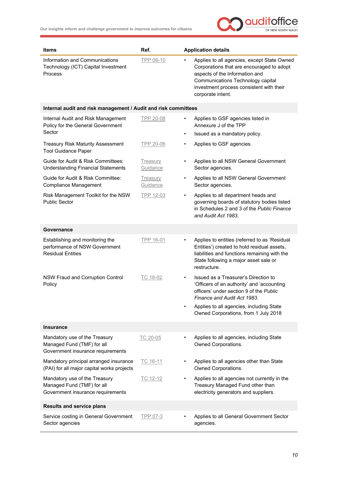

<span id="page-11-3"></span><span id="page-11-2"></span><span id="page-11-1"></span><span id="page-11-0"></span>

| Items                                                                                            | Ref.                        | <b>Application details</b>                                                                                                                                                                                                                                    |
|--------------------------------------------------------------------------------------------------|-----------------------------|---------------------------------------------------------------------------------------------------------------------------------------------------------------------------------------------------------------------------------------------------------------|
| Information and Communications<br>Technology (ICT) Capital Investment<br>Process                 | TPP 06-10                   | Applies to all agencies, except State Owned<br>٠<br>Corporations that are encouraged to adopt<br>aspects of the Information and<br>Communications Technology capital<br>investment process consistent with their<br>corporate intent.                         |
| Internal audit and risk management / Audit and risk committees                                   |                             |                                                                                                                                                                                                                                                               |
| Internal Audit and Risk Management<br>Policy for the General Government<br>Sector                | <b>TPP 20-08</b>            | Applies to GSF agencies listed in<br>٠<br>Annexure J of the TPP<br>Issued as a mandatory policy.<br>$\bullet$                                                                                                                                                 |
| <b>Treasury Risk Maturity Assessment</b>                                                         | <b>TPP 20-06</b>            | Applies to GSF agencies.<br>$\bullet$                                                                                                                                                                                                                         |
| <b>Tool Guidance Paper</b>                                                                       |                             |                                                                                                                                                                                                                                                               |
| Guide for Audit & Risk Committees:<br><b>Understanding Financial Statements</b>                  | <b>Treasury</b><br>Guidance | Applies to all NSW General Government<br>٠<br>Sector agencies.                                                                                                                                                                                                |
| Guide for Audit & Risk Committee:<br>Compliance Management                                       | Treasury<br>Guidance        | Applies to all NSW General Government<br>$\bullet$<br>Sector agencies.                                                                                                                                                                                        |
| Risk Management Toolkit for the NSW<br><b>Public Sector</b>                                      | TPP 12-03                   | Applies to all department heads and<br>$\bullet$<br>governing boards of statutory bodies listed<br>in Schedules 2 and 3 of the Public Finance<br>and Audit Act 1983.                                                                                          |
| Governance                                                                                       |                             |                                                                                                                                                                                                                                                               |
| Establishing and monitoring the<br>performance of NSW Government<br><b>Residual Entities</b>     | TPP 16-01                   | Applies to entities (referred to as 'Residual<br>٠<br>Entities') created to hold residual assets,<br>liabilities and functions remaining with the<br>State following a major asset sale or<br>restructure.                                                    |
| <b>NSW Fraud and Corruption Control</b><br>Policy                                                | TC 18-02                    | Issued as a Treasurer's Direction to<br>'Officers of an authority' and 'accounting<br>officers' under section 9 of the Public<br>Finance and Audit Act 1983.<br>Applies to all agencies, including State<br>$\bullet$<br>Owned Corporations, from 1 July 2018 |
|                                                                                                  |                             |                                                                                                                                                                                                                                                               |
| <b>Insurance</b>                                                                                 |                             |                                                                                                                                                                                                                                                               |
| Mandatory use of the Treasury<br>Managed Fund (TMF) for all<br>Government insurance requirements | TC 20-05                    | Applies to all agencies, including State<br>$\bullet$<br>Owned Corporations.                                                                                                                                                                                  |
| Mandatory principal arranged insurance<br>(PAI) for all major capital works projects             | TC 16-11                    | Applies to all agencies other than State<br>Owned Corporations.                                                                                                                                                                                               |
| Mandatory use of the Treasury<br>Managed Fund (TMF) for all<br>Government insurance requirements | TC 12-12                    | Applies to all agencies not currently in the<br>$\bullet$<br>Treasury Managed Fund other than<br>electricity generators and suppliers.                                                                                                                        |
| <b>Results and service plans</b>                                                                 |                             |                                                                                                                                                                                                                                                               |
| Service costing in General Government<br>Sector agencies                                         | TPP 07-3                    | Applies to all General Government Sector<br>agencies.                                                                                                                                                                                                         |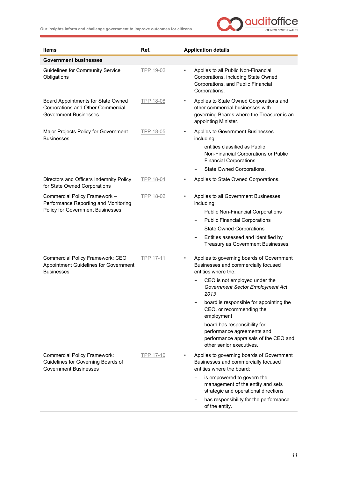

<span id="page-12-0"></span>

| <b>Items</b>                                                                                              | Ref.      | <b>Application details</b>                                                                                                                                            |
|-----------------------------------------------------------------------------------------------------------|-----------|-----------------------------------------------------------------------------------------------------------------------------------------------------------------------|
| <b>Government businesses</b>                                                                              |           |                                                                                                                                                                       |
| <b>Guidelines for Community Service</b><br>Obligations                                                    | TPP 19-02 | Applies to all Public Non-Financial<br>$\bullet$<br>Corporations, including State Owned<br>Corporations, and Public Financial<br>Corporations.                        |
| Board Appointments for State Owned<br>Corporations and Other Commercial<br><b>Government Businesses</b>   | TPP 18-08 | Applies to State Owned Corporations and<br>$\bullet$<br>other commercial businesses with<br>governing Boards where the Treasurer is an<br>appointing Minister.        |
| Major Projects Policy for Government<br><b>Businesses</b>                                                 | TPP 18-05 | Applies to Government Businesses<br>$\bullet$<br>including:<br>entities classified as Public<br>Non-Financial Corporations or Public<br><b>Financial Corporations</b> |
|                                                                                                           |           | State Owned Corporations.<br>$\qquad \qquad -$                                                                                                                        |
| Directors and Officers Indemnity Policy<br>for State Owned Corporations                                   | TPP 18-04 | Applies to State Owned Corporations.                                                                                                                                  |
| Commercial Policy Framework -<br>Performance Reporting and Monitoring                                     | TPP 18-02 | Applies to all Government Businesses<br>$\bullet$<br>including:                                                                                                       |
| Policy for Government Businesses                                                                          |           | <b>Public Non-Financial Corporations</b>                                                                                                                              |
|                                                                                                           |           | <b>Public Financial Corporations</b><br>-                                                                                                                             |
|                                                                                                           |           | <b>State Owned Corporations</b><br>$\overline{\phantom{m}}$                                                                                                           |
|                                                                                                           |           | Entities assessed and identified by<br>-<br>Treasury as Government Businesses.                                                                                        |
| Commercial Policy Framework: CEO<br>Appointment Guidelines for Government<br><b>Businesses</b>            | TPP 17-11 | Applies to governing boards of Government<br>Businesses and commercially focused<br>entities where the:                                                               |
|                                                                                                           |           | CEO is not employed under the<br>Government Sector Employment Act<br>2013                                                                                             |
|                                                                                                           |           | board is responsible for appointing the<br>CEO, or recommending the<br>employment                                                                                     |
|                                                                                                           |           | board has responsibility for<br>performance agreements and<br>performance appraisals of the CEO and<br>other senior executives.                                       |
| <b>Commercial Policy Framework:</b><br>Guidelines for Governing Boards of<br><b>Government Businesses</b> | TPP 17-10 | Applies to governing boards of Government<br>Businesses and commercially focused<br>entities where the board:                                                         |
|                                                                                                           |           | is empowered to govern the<br>management of the entity and sets<br>strategic and operational directions                                                               |
|                                                                                                           |           | has responsibility for the performance<br>of the entity.                                                                                                              |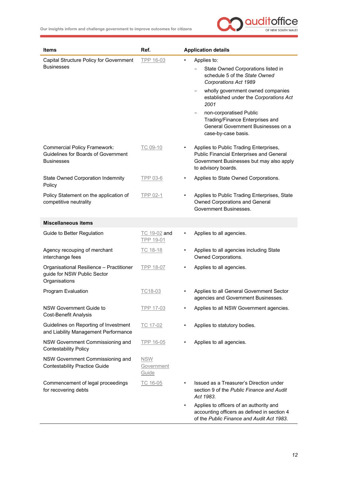

<span id="page-13-0"></span>

| Items                                                                                           | Ref.                              | <b>Application details</b>                                                                                                                                   |
|-------------------------------------------------------------------------------------------------|-----------------------------------|--------------------------------------------------------------------------------------------------------------------------------------------------------------|
| Capital Structure Policy for Government                                                         | <b>TPP 16-03</b>                  | Applies to:                                                                                                                                                  |
| <b>Businesses</b>                                                                               |                                   | State Owned Corporations listed in<br>schedule 5 of the State Owned<br>Corporations Act 1989                                                                 |
|                                                                                                 |                                   | wholly government owned companies<br>established under the Corporations Act<br>2001                                                                          |
|                                                                                                 |                                   | non-corporatised Public<br>Trading/Finance Enterprises and<br>General Government Businesses on a<br>case-by-case basis.                                      |
| <b>Commercial Policy Framework:</b><br>Guidelines for Boards of Government<br><b>Businesses</b> | TC 09-10                          | Applies to Public Trading Enterprises,<br><b>Public Financial Enterprises and General</b><br>Government Businesses but may also apply<br>to advisory boards. |
| <b>State Owned Corporation Indemnity</b><br>Policy                                              | <b>TPP 03-6</b>                   | Applies to State Owned Corporations.<br>$\bullet$                                                                                                            |
| Policy Statement on the application of<br>competitive neutrality                                | TPP 02-1                          | Applies to Public Trading Enterprises, State<br>Owned Corporations and General<br>Government Businesses.                                                     |
| <b>Miscellaneous items</b>                                                                      |                                   |                                                                                                                                                              |
| Guide to Better Regulation                                                                      | TC 19-02 and<br><b>TPP 19-01</b>  | Applies to all agencies.<br>٠                                                                                                                                |
| Agency recouping of merchant<br>interchange fees                                                | TC 18-18                          | Applies to all agencies including State<br>Owned Corporations.                                                                                               |
| Organisational Resilience - Practitioner<br>guide for NSW Public Sector<br>Organisations        | <b>TPP 18-07</b>                  | Applies to all agencies.<br>٠                                                                                                                                |
| Program Evaluation                                                                              | TC18-03                           | Applies to all General Government Sector<br>agencies and Government Businesses.                                                                              |
| NSW Government Guide to<br><b>Cost-Benefit Analysis</b>                                         | TPP 17-03                         | Applies to all NSW Government agencies.                                                                                                                      |
| Guidelines on Reporting of Investment<br>and Liability Management Performance                   | TC 17-02                          | Applies to statutory bodies.                                                                                                                                 |
| NSW Government Commissioning and<br><b>Contestability Policy</b>                                | TPP 16-05                         | Applies to all agencies.                                                                                                                                     |
| NSW Government Commissioning and<br><b>Contestability Practice Guide</b>                        | <b>NSW</b><br>Government<br>Guide |                                                                                                                                                              |
| Commencement of legal proceedings<br>for recovering debts                                       | TC 16-05                          | Issued as a Treasurer's Direction under<br>section 9 of the Public Finance and Audit<br>Act 1983.                                                            |
|                                                                                                 |                                   | Applies to officers of an authority and<br>$\bullet$<br>accounting officers as defined in section 4<br>of the Public Finance and Audit Act 1983.             |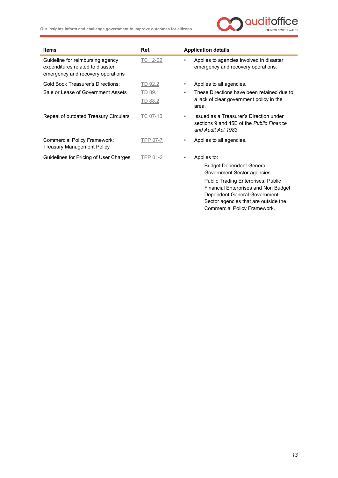

| <b>Items</b>                                                                                              | Ref.               | <b>Application details</b>                                                                                                                                                                                                                                                 |
|-----------------------------------------------------------------------------------------------------------|--------------------|----------------------------------------------------------------------------------------------------------------------------------------------------------------------------------------------------------------------------------------------------------------------------|
| Guideline for reimbursing agency<br>expenditures related to disaster<br>emergency and recovery operations | TC 12-02           | Applies to agencies involved in disaster<br>٠<br>emergency and recovery operations.                                                                                                                                                                                        |
| <b>Gold Book Treasurer's Directions:</b>                                                                  | TD 92.2            | Applies to all agencies.<br>$\bullet$                                                                                                                                                                                                                                      |
| Sale or Lease of Government Assets                                                                        | TD 89.1<br>TD 88.2 | These Directions have been retained due to<br>٠<br>a lack of clear government policy in the<br>area.                                                                                                                                                                       |
| Repeal of outdated Treasury Circulars                                                                     | TC 07-15           | Issued as a Treasurer's Direction under<br>$\bullet$<br>sections 9 and 45E of the Public Finance<br>and Audit Act 1983.                                                                                                                                                    |
| <b>Commercial Policy Framework:</b><br><b>Treasury Management Policy</b>                                  | TPP 07-7           | Applies to all agencies.<br>٠                                                                                                                                                                                                                                              |
| Guidelines for Pricing of User Charges                                                                    | TPP 01-2           | Applies to:<br>٠<br><b>Budget Dependent General</b><br>Government Sector agencies<br>Public Trading Enterprises, Public<br>$\overline{\phantom{m}}$<br><b>Financial Enterprises and Non Budget</b><br>Dependent General Government<br>Sector agencies that are outside the |
|                                                                                                           |                    | Commercial Policy Framework.                                                                                                                                                                                                                                               |